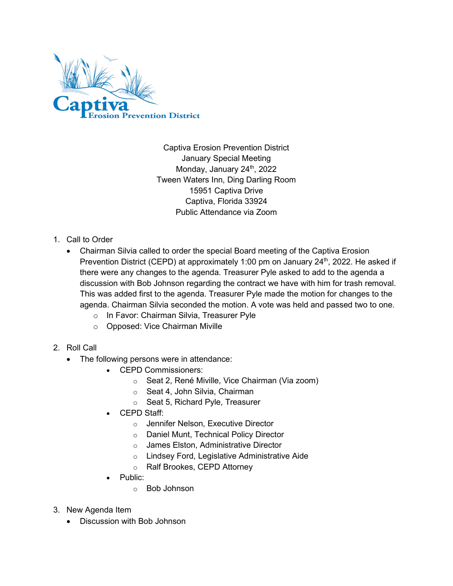

Captiva Erosion Prevention District January Special Meeting Monday, January 24<sup>th</sup>, 2022 Tween Waters Inn, Ding Darling Room 15951 Captiva Drive Captiva, Florida 33924 Public Attendance via Zoom

## 1. Call to Order

- Chairman Silvia called to order the special Board meeting of the Captiva Erosion Prevention District (CEPD) at approximately 1:00 pm on January  $24<sup>th</sup>$ , 2022. He asked if there were any changes to the agenda. Treasurer Pyle asked to add to the agenda a discussion with Bob Johnson regarding the contract we have with him for trash removal. This was added first to the agenda. Treasurer Pyle made the motion for changes to the agenda. Chairman Silvia seconded the motion. A vote was held and passed two to one.
	- o In Favor: Chairman Silvia, Treasurer Pyle
	- o Opposed: Vice Chairman Miville
- 2. Roll Call
	- The following persons were in attendance:
		- CEPD Commissioners:
			- o Seat 2, René Miville, Vice Chairman (Via zoom)
			- o Seat 4, John Silvia, Chairman
			- o Seat 5, Richard Pyle, Treasurer
		- CEPD Staff:
			- o Jennifer Nelson, Executive Director
			- o Daniel Munt, Technical Policy Director
			- o James Elston, Administrative Director
			- o Lindsey Ford, Legislative Administrative Aide
			- o Ralf Brookes, CEPD Attorney
		- Public:
			- o Bob Johnson
- 3. New Agenda Item
	- Discussion with Bob Johnson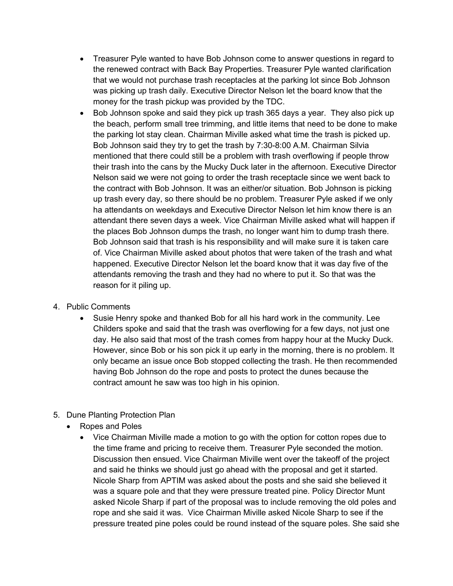- Treasurer Pyle wanted to have Bob Johnson come to answer questions in regard to the renewed contract with Back Bay Properties. Treasurer Pyle wanted clarification that we would not purchase trash receptacles at the parking lot since Bob Johnson was picking up trash daily. Executive Director Nelson let the board know that the money for the trash pickup was provided by the TDC.
- Bob Johnson spoke and said they pick up trash 365 days a year. They also pick up the beach, perform small tree trimming, and little items that need to be done to make the parking lot stay clean. Chairman Miville asked what time the trash is picked up. Bob Johnson said they try to get the trash by 7:30-8:00 A.M. Chairman Silvia mentioned that there could still be a problem with trash overflowing if people throw their trash into the cans by the Mucky Duck later in the afternoon. Executive Director Nelson said we were not going to order the trash receptacle since we went back to the contract with Bob Johnson. It was an either/or situation. Bob Johnson is picking up trash every day, so there should be no problem. Treasurer Pyle asked if we only ha attendants on weekdays and Executive Director Nelson let him know there is an attendant there seven days a week. Vice Chairman Miville asked what will happen if the places Bob Johnson dumps the trash, no longer want him to dump trash there. Bob Johnson said that trash is his responsibility and will make sure it is taken care of. Vice Chairman Miville asked about photos that were taken of the trash and what happened. Executive Director Nelson let the board know that it was day five of the attendants removing the trash and they had no where to put it. So that was the reason for it piling up.

## 4. Public Comments

- Susie Henry spoke and thanked Bob for all his hard work in the community. Lee Childers spoke and said that the trash was overflowing for a few days, not just one day. He also said that most of the trash comes from happy hour at the Mucky Duck. However, since Bob or his son pick it up early in the morning, there is no problem. It only became an issue once Bob stopped collecting the trash. He then recommended having Bob Johnson do the rope and posts to protect the dunes because the contract amount he saw was too high in his opinion.
- 5. Dune Planting Protection Plan
	- Ropes and Poles
		- Vice Chairman Miville made a motion to go with the option for cotton ropes due to the time frame and pricing to receive them. Treasurer Pyle seconded the motion. Discussion then ensued. Vice Chairman Miville went over the takeoff of the project and said he thinks we should just go ahead with the proposal and get it started. Nicole Sharp from APTIM was asked about the posts and she said she believed it was a square pole and that they were pressure treated pine. Policy Director Munt asked Nicole Sharp if part of the proposal was to include removing the old poles and rope and she said it was. Vice Chairman Miville asked Nicole Sharp to see if the pressure treated pine poles could be round instead of the square poles. She said she